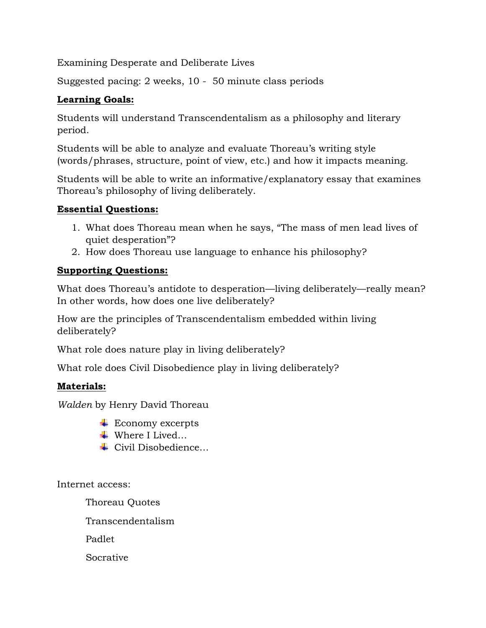Examining Desperate and Deliberate Lives

Suggested pacing: 2 weeks, 10 - 50 minute class periods

# **Learning Goals:**

Students will understand Transcendentalism as a philosophy and literary period.

Students will be able to analyze and evaluate Thoreau's writing style (words/phrases, structure, point of view, etc.) and how it impacts meaning.

Students will be able to write an informative/explanatory essay that examines Thoreau's philosophy of living deliberately.

## **Essential Questions:**

- 1. What does Thoreau mean when he says, "The mass of men lead lives of quiet desperation"?
- 2. How does Thoreau use language to enhance his philosophy?

# **Supporting Questions:**

What does Thoreau's antidote to desperation—living deliberately—really mean? In other words, how does one live deliberately?

How are the principles of Transcendentalism embedded within living deliberately?

What role does nature play in living deliberately?

What role does Civil Disobedience play in living deliberately?

## **Materials:**

*Walden* by Henry David Thoreau

- $\overline{\phantom{a}}$  Economy excerpts
- Where I Lived…
- Civil Disobedience…

Internet access:

Thoreau Quotes

Transcendentalism

Padlet

Socrative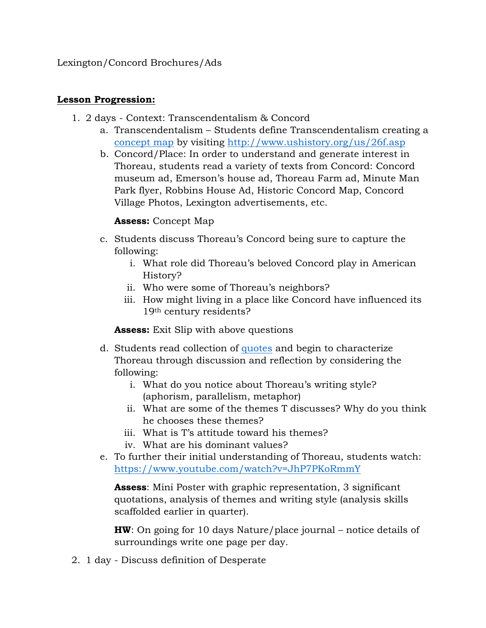Lexington/Concord Brochures/Ads

#### **Lesson Progression:**

- 1. 2 days Context: Transcendentalism & Concord
	- a. Transcendentalism Students define Transcendentalism creating a [concept map](https://www.pinterest.com/pin/13862711326066002/) by visiting<http://www.ushistory.org/us/26f.asp>
	- b. Concord/Place: In order to understand and generate interest in Thoreau, students read a variety of texts from Concord: Concord museum ad, Emerson's house ad, Thoreau Farm ad, Minute Man Park flyer, Robbins House Ad, Historic Concord Map, Concord Village Photos, Lexington advertisements, etc.

### **Assess:** Concept Map

- c. Students discuss Thoreau's Concord being sure to capture the following:
	- i. What role did Thoreau's beloved Concord play in American History?
	- ii. Who were some of Thoreau's neighbors?
	- iii. How might living in a place like Concord have influenced its 19th century residents?

**Assess:** Exit Slip with above questions

- d. Students read collection of [quotes](https://www.goodreads.com/work/quotes/2361393-walden-or-life-in-the-woods) and begin to characterize Thoreau through discussion and reflection by considering the following:
	- i. What do you notice about Thoreau's writing style? (aphorism, parallelism, metaphor)
	- ii. What are some of the themes T discusses? Why do you think he chooses these themes?
	- iii. What is T's attitude toward his themes?
	- iv. What are his dominant values?
- e. To further their initial understanding of Thoreau, students watch: <https://www.youtube.com/watch?v=JhP7PKoRmmY>

**Assess**: Mini Poster with graphic representation, 3 significant quotations, analysis of themes and writing style (analysis skills scaffolded earlier in quarter).

**HW**: On going for 10 days Nature/place journal – notice details of surroundings write one page per day.

2. 1 day - Discuss definition of Desperate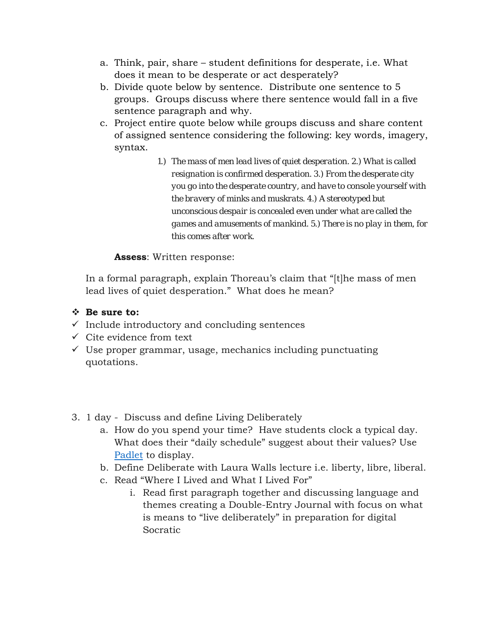- a. Think, pair, share student definitions for desperate, i.e. What does it mean to be desperate or act desperately?
- b. Divide quote below by sentence. Distribute one sentence to 5 groups. Groups discuss where there sentence would fall in a five sentence paragraph and why.
- c. Project entire quote below while groups discuss and share content of assigned sentence considering the following: key words, imagery, syntax.
	- *1.) The mass of men lead lives of quiet desperation. 2.) What is called resignation is confirmed desperation. 3.) From the desperate city you go into the desperate country, and have to console yourself with the bravery of minks and muskrats. 4.) A stereotyped but unconscious despair is concealed even under what are called the games and amusements of mankind. 5.) There is no play in them, for this comes after work.*

### **Assess**: Written response:

In a formal paragraph, explain Thoreau's claim that "[t]he mass of men lead lives of quiet desperation." What does he mean?

## **Be sure to:**

- $\checkmark$  Include introductory and concluding sentences
- $\checkmark$  Cite evidence from text
- $\checkmark$  Use proper grammar, usage, mechanics including punctuating quotations.
- 3. 1 day Discuss and define Living Deliberately
	- a. How do you spend your time? Have students clock a typical day. What does their "daily schedule" suggest about their values? Use [Padlet](https://padlet.com/) to display.
	- b. Define Deliberate with Laura Walls lecture i.e. liberty, libre, liberal.
	- c. Read "Where I Lived and What I Lived For"
		- i. Read first paragraph together and discussing language and themes creating a Double-Entry Journal with focus on what is means to "live deliberately" in preparation for digital Socratic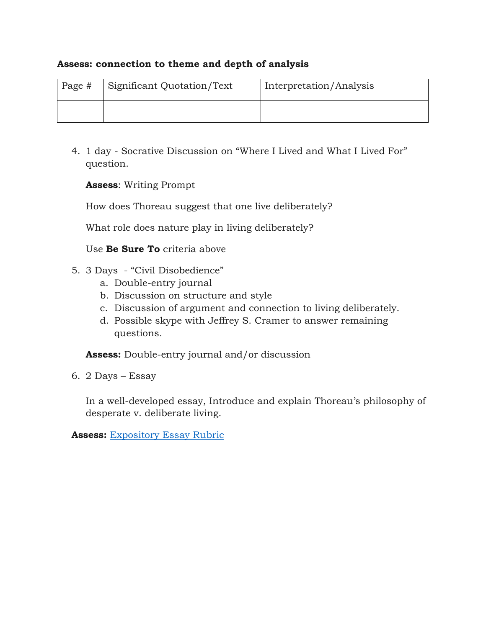#### **Assess: connection to theme and depth of analysis**

| Page # | Significant Quotation/Text | Interpretation/Analysis |
|--------|----------------------------|-------------------------|
|        |                            |                         |

4. 1 day - Socrative Discussion on "Where I Lived and What I Lived For" question.

**Assess**: Writing Prompt

How does Thoreau suggest that one live deliberately?

What role does nature play in living deliberately?

Use **Be Sure To** criteria above

- 5. 3 Days "Civil Disobedience"
	- a. Double-entry journal
	- b. Discussion on structure and style
	- c. Discussion of argument and connection to living deliberately.
	- d. Possible skype with Jeffrey S. Cramer to answer remaining questions.

**Assess:** Double-entry journal and/or discussion

6. 2 Days – Essay

In a well-developed essay, Introduce and explain Thoreau's philosophy of desperate v. deliberate living.

**Assess:** [Expository Essay Rubric](http://www.schoolimprovement.com/docs/Common%20Core%20Rubrics_Gr11-12.pdf)